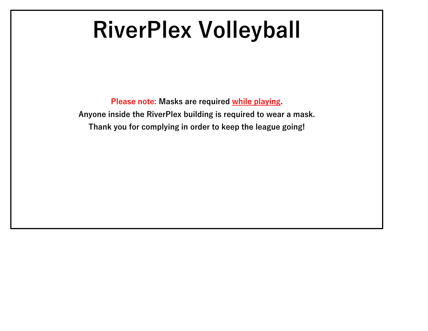# **RiverPlex Volleyball**

**Please note: Masks are required while playing. Anyone inside the RiverPlex building is required to wear a mask. Thank you for complying in order to keep the league going!**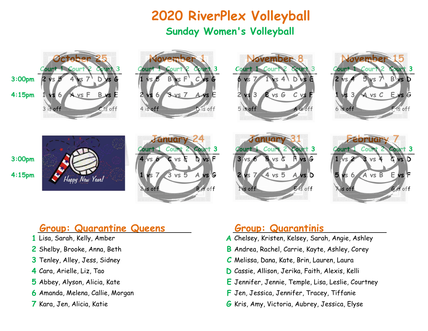## **2020 RiverPlex Volleyball Sunday Women's Volleyball**



### **Group: Quarantine Queens Group: Quarantinis**

- 
- 
- 
- 
- 
- 
- 

- 1 Lisa, Sarah, Kelly, Amber **A** Chelsey, Kristen, Kelsey, Sarah, Angie, Ashley
- **2** Shelby, Brooke, Anna, Beth **B** Andrea, Rachel, Carrie, Kayte, Ashley, Corey
- **3** Tenley, Alley, Jess, Sidney **C** Melissa, Dana, Kate, Brin, Lauren, Laura
- **4** Cara, Arielle, Liz, Tao **D** Cassie, Allison, Jerika, Faith, Alexis, Kelli
- **5** Abbey, Alyson, Alicia, Kate **E** Jennifer, Jennie, Temple, Lisa, Leslie, Courtney
- **6** Amanda, Melena, Callie, Morgan **F** Jen, Jessica, Jennifer, Tracey, Tiffanie
- **7** Kara, Jen, Alicia, Katie **G** Kris, Amy, Victoria, Aubrey, Jessica, Elyse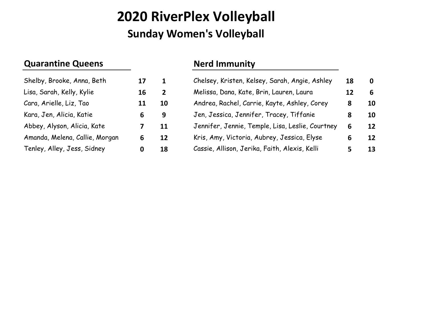## **2020 RiverPlex Volleyball Sunday Women's Volleyball**

### **Quarantine Queens Nerd Immunity**

| Shelby, Brooke, Anna, Beth     | 17 |
|--------------------------------|----|
| Lisa, Sarah, Kelly, Kylie      | 16 |
| Cara, Arielle, Liz, Tao        | 11 |
| Kara, Jen, Alicia, Katie       | 6  |
| Abbey, Alyson, Alicia, Kate    | 7  |
| Amanda, Melena, Callie, Morgan | 6  |
| Tenley, Alley, Jess, Sidney    | O  |

| Shelby, Brooke, Anna, Beth     | 17 |                | Chelsey, Kristen, Kelsey, Sarah, Angie, Ashley   | 18 | 0  |
|--------------------------------|----|----------------|--------------------------------------------------|----|----|
| Lisa, Sarah, Kelly, Kylie      | 16 | $\overline{2}$ | Melissa, Dana, Kate, Brin, Lauren, Laura         | 12 | 6  |
| Cara, Arielle, Liz, Tao        | 11 | 10             | Andrea, Rachel, Carrie, Kayte, Ashley, Corey     | 8  | 10 |
| Kara, Jen, Alicia, Katie       | 6  | 9              | Jen, Jessica, Jennifer, Tracey, Tiffanie         | 8  | 10 |
| Abbey, Alyson, Alicia, Kate    |    | 11             | Jennifer, Jennie, Temple, Lisa, Leslie, Courtney | 6  | 12 |
| Amanda, Melena, Callie, Morgan | 6  | <b>12</b>      | Kris, Amy, Victoria, Aubrey, Jessica, Elyse      | 6  | 12 |
| Tenley, Alley, Jess, Sidney    | 0  | 18             | Cassie, Allison, Jerika, Faith, Alexis, Kelli    |    | 13 |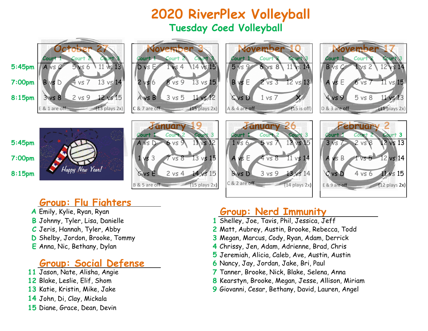## **2020 RiverPlex Volleyball Tuesday Coed Volleyball**















## **Group: Flu Fighters**

- 
- 
- 
- 
- 

## **Group: Social Defense 6** Nancy, Jay, Jordan, Jake, Bri, Paul

- 
- 
- 
- **14** John, Di, Clay, Mickala
- **15** Diane, Grace, Dean, Devin

## **A** Emily, Kylie, Ryan, Ryan **Group: Nerd Immunity**

- 1 Shelley, Joe, Tavis, Phil, Jessica, Jeff
- **C** Jeris, Hannah, Tyler, Abby **2** Matt, Aubrey, Austin, Brooke, Rebecca, Todd
- **D** Shelby, Jordon, Brooke, Tommy **3** Megan, Marcus, Cody, Ryan, Adam, Derrick
- **E** Anna, Nic, Bethany, Dylan **4** Chrissy, Jen, Adam, Adrienne, Brad, Chris
	- **5** Jeremiah, Alicia, Caleb, Ave, Austin, Austin
	-
	- 7 Tanner, Brooke, Nick, Blake, Selena, Anna
- **12** Blake, Leslie, Elif, Shom **8** Kearstyn, Brooke, Megan, Jesse, Allison, Miriam
- **13** Katie, Kristin, Mike, Jake **9** Giovanni, Cesar, Bethany, David, Lauren, Angel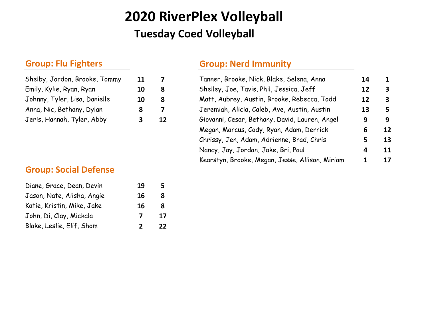## **2020 RiverPlex Volleyball Tuesday Coed Volleyball**

| 11 |
|----|
| 10 |
| 10 |
| 8  |
| 3  |
|    |

### **Group: Social Defense**

| Diane, Grace, Dean, Devin  | 19           |    |
|----------------------------|--------------|----|
| Jason, Nate, Alisha, Angie | 16           | 8  |
| Katie, Kristin, Mike, Jake | 16           | 8. |
| John, Di, Clay, Mickala    | 7            | 17 |
| Blake, Leslie, Elif, Shom  | $\mathbf{z}$ | 22 |

### **Group: Flu Fighters Group: Nerd Immunity**

| Shelby, Jordon, Brooke, Tommy | 11 |    | Tanner, Brooke, Nick, Blake, Selena, Anna       | 14 | 1            |
|-------------------------------|----|----|-------------------------------------------------|----|--------------|
| Emily, Kylie, Ryan, Ryan      | 10 | 8  | Shelley, Joe, Tavis, Phil, Jessica, Jeff        | 12 | $\mathbf{3}$ |
| Johnny, Tyler, Lisa, Danielle | 10 | 8  | Matt, Aubrey, Austin, Brooke, Rebecca, Todd     | 12 | $\mathbf{3}$ |
| Anna, Nic, Bethany, Dylan     | 8  |    | Jeremiah, Alicia, Caleb, Ave, Austin, Austin    | 13 | 5            |
| Jeris, Hannah, Tyler, Abby    | 3  | 12 | Giovanni, Cesar, Bethany, David, Lauren, Angel  | 9  | 9            |
|                               |    |    | Megan, Marcus, Cody, Ryan, Adam, Derrick        | 6  | 12           |
|                               |    |    | Chrissy, Jen, Adam, Adrienne, Brad, Chris       | 5  | 13           |
|                               |    |    | Nancy, Jay, Jordan, Jake, Bri, Paul             | 4  | 11           |
|                               |    |    | Kearstyn, Brooke, Megan, Jesse, Allison, Miriam |    | 17           |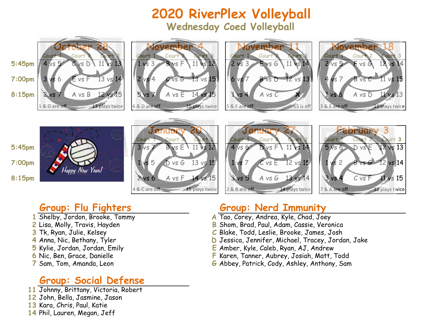**2020 RiverPlex Volleyball Wednesday Coed Volleyball**



- 
- 
- 
- 
- 
- 
- 

### **Group: Social Defense**

- **11** Johnny, Brittany, Victoria, Robert
- **12** John, Bella, Jasmine, Jason
- **13** Kara, Chris, Paul, Katie
- **14** Phil, Lauren, Megan, Jeff

### **Group: Flu Fighters Group: Nerd Immunity**

- **1** Shelby, Jordon, Brooke, Tommy **A** Tao, Corey, Andrea, Kyle, Chad, Joey
- **2** Lisa, Molly, Travis, Hayden **B** Shom, Brad, Paul, Adam, Cassie, Veronica
- **3** Tk, Ryan, Julie, Kelsey **C** Blake, Todd, Leslie, Brooke, James, Josh
- **4** Anna, Nic, Bethany, Tyler **D** Jessica, Jennifer, Michael, Tracey, Jordan, Jake<br>**5** Kylie, Jordan, Jordan, Emily **Camber, Kyle, Calego, Ryan, AJ, Andrew**
- **5** Kylie, Jordan, Jordan, Emily **E** Amber, Kyle, Caleb, Ryan, AJ, Andrew
- **6** Nic, Ben, Grace, Danielle **F** Karen, Tanner, Aubrey, Josiah, Matt, Todd
	- **6** Abbey, Patrick, Cody, Ashley, Anthony, Sam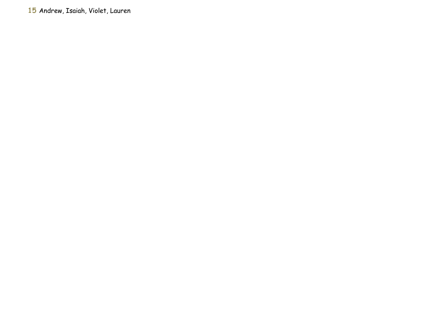Andrew, Isaiah, Violet, Lauren